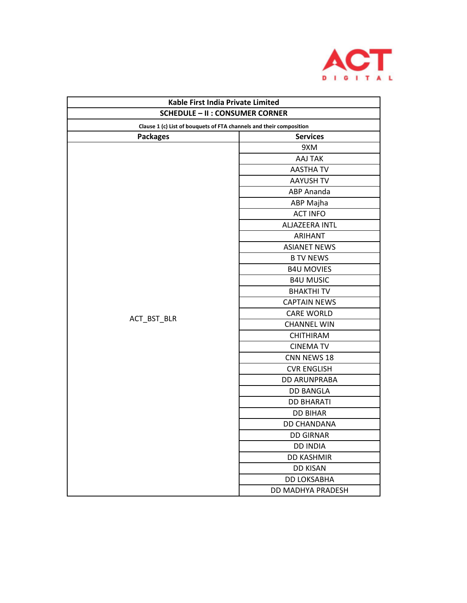

| Kable First India Private Limited                                                                             |                     |  |
|---------------------------------------------------------------------------------------------------------------|---------------------|--|
| <b>SCHEDULE - II : CONSUMER CORNER</b><br>Clause 1 (c) List of bouquets of FTA channels and their composition |                     |  |
|                                                                                                               |                     |  |
|                                                                                                               | 9XM                 |  |
|                                                                                                               | AAJ TAK             |  |
|                                                                                                               | <b>AASTHA TV</b>    |  |
|                                                                                                               | <b>AAYUSH TV</b>    |  |
|                                                                                                               | <b>ABP Ananda</b>   |  |
|                                                                                                               | ABP Majha           |  |
|                                                                                                               | <b>ACT INFO</b>     |  |
|                                                                                                               | ALJAZEERA INTL      |  |
|                                                                                                               | <b>ARIHANT</b>      |  |
|                                                                                                               | <b>ASIANET NEWS</b> |  |
|                                                                                                               | <b>B TV NEWS</b>    |  |
|                                                                                                               | <b>B4U MOVIES</b>   |  |
|                                                                                                               | <b>B4U MUSIC</b>    |  |
|                                                                                                               | <b>BHAKTHITV</b>    |  |
|                                                                                                               | <b>CAPTAIN NEWS</b> |  |
|                                                                                                               | <b>CARE WORLD</b>   |  |
| ACT_BST_BLR                                                                                                   | <b>CHANNEL WIN</b>  |  |
|                                                                                                               | <b>CHITHIRAM</b>    |  |
|                                                                                                               | <b>CINEMA TV</b>    |  |
|                                                                                                               | CNN NEWS 18         |  |
|                                                                                                               | <b>CVR ENGLISH</b>  |  |
|                                                                                                               | <b>DD ARUNPRABA</b> |  |
|                                                                                                               | <b>DD BANGLA</b>    |  |
|                                                                                                               | <b>DD BHARATI</b>   |  |
|                                                                                                               | <b>DD BIHAR</b>     |  |
|                                                                                                               | DD CHANDANA         |  |
|                                                                                                               | <b>DD GIRNAR</b>    |  |
|                                                                                                               | <b>DD INDIA</b>     |  |
|                                                                                                               | <b>DD KASHMIR</b>   |  |
|                                                                                                               | <b>DD KISAN</b>     |  |
|                                                                                                               | DD LOKSABHA         |  |
|                                                                                                               | DD MADHYA PRADESH   |  |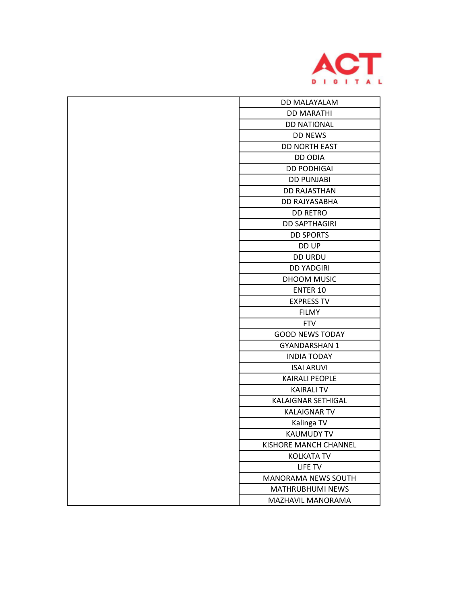

| <b>DD MALAYALAM</b>          |
|------------------------------|
| <b>DD MARATHI</b>            |
| <b>DD NATIONAL</b>           |
| <b>DD NEWS</b>               |
| <b>DD NORTH EAST</b>         |
| <b>DD ODIA</b>               |
| <b>DD PODHIGAI</b>           |
| <b>DD PUNJABI</b>            |
| <b>DD RAJASTHAN</b>          |
| DD RAJYASABHA                |
| <b>DD RETRO</b>              |
| <b>DD SAPTHAGIRI</b>         |
| <b>DD SPORTS</b>             |
| DD UP                        |
| <b>DD URDU</b>               |
| <b>DD YADGIRI</b>            |
| DHOOM MUSIC                  |
| <b>ENTER 10</b>              |
| <b>EXPRESS TV</b>            |
| <b>FILMY</b>                 |
| <b>FTV</b>                   |
| <b>GOOD NEWS TODAY</b>       |
| <b>GYANDARSHAN 1</b>         |
| <b>INDIA TODAY</b>           |
| <b>ISAI ARUVI</b>            |
| <b>KAIRALI PEOPLE</b>        |
| <b>KAIRALI TV</b>            |
| KALAIGNAR SETHIGAL           |
| <b>KALAIGNAR TV</b>          |
| Kalinga TV                   |
| <b>KAUMUDY TV</b>            |
| <b>KISHORE MANCH CHANNEL</b> |
| <b>KOLKATA TV</b>            |
| LIFE TV                      |
| <b>MANORAMA NEWS SOUTH</b>   |
| MATHRUBHUMI NEWS             |
| MAZHAVIL MANORAMA            |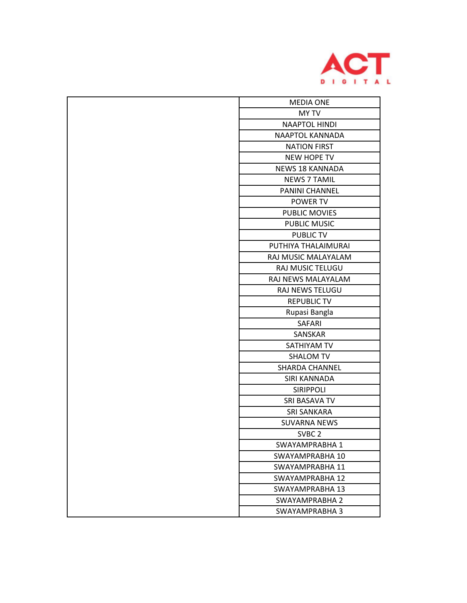

| <b>MEDIA ONE</b>       |
|------------------------|
| <b>MY TV</b>           |
| <b>NAAPTOL HINDI</b>   |
| NAAPTOL KANNADA        |
| <b>NATION FIRST</b>    |
| <b>NEW HOPE TV</b>     |
| <b>NEWS 18 KANNADA</b> |
| <b>NEWS 7 TAMIL</b>    |
| PANINI CHANNEL         |
| POWER TV               |
| <b>PUBLIC MOVIES</b>   |
| <b>PUBLIC MUSIC</b>    |
| <b>PUBLIC TV</b>       |
| PUTHIYA THALAIMURAI    |
| RAJ MUSIC MALAYALAM    |
| RAJ MUSIC TELUGU       |
| RAJ NEWS MALAYALAM     |
| RAJ NEWS TELUGU        |
| <b>REPUBLIC TV</b>     |
| Rupasi Bangla          |
| <b>SAFARI</b>          |
| SANSKAR                |
| SATHIYAM TV            |
| <b>SHALOM TV</b>       |
| <b>SHARDA CHANNEL</b>  |
| SIRI KANNADA           |
| <b>SIRIPPOLI</b>       |
| SRI BASAVA TV          |
| <b>SRI SANKARA</b>     |
| <b>SUVARNA NEWS</b>    |
| SVBC <sub>2</sub>      |
| SWAYAMPRABHA 1         |
| SWAYAMPRABHA 10        |
| SWAYAMPRABHA 11        |
| SWAYAMPRABHA 12        |
| SWAYAMPRABHA 13        |
| SWAYAMPRABHA 2         |
| SWAYAMPRABHA 3         |
|                        |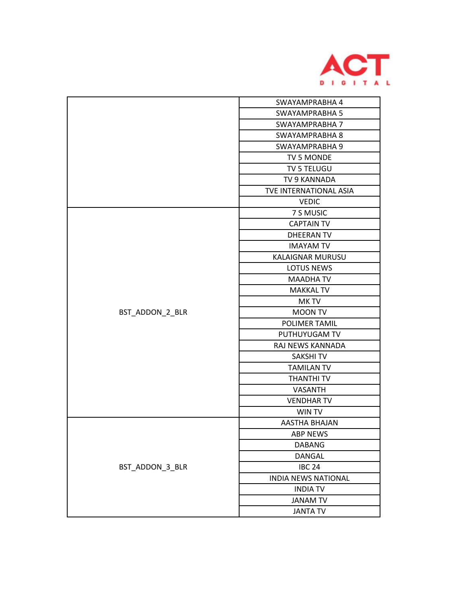

|                 | SWAYAMPRABHA 4             |
|-----------------|----------------------------|
|                 | <b>SWAYAMPRABHA 5</b>      |
|                 | SWAYAMPRABHA 7             |
|                 | SWAYAMPRABHA 8             |
|                 | SWAYAMPRABHA 9             |
|                 | TV 5 MONDE                 |
|                 | TV 5 TELUGU                |
|                 | TV 9 KANNADA               |
|                 | TVE INTERNATIONAL ASIA     |
|                 | <b>VEDIC</b>               |
|                 | 7 S MUSIC                  |
|                 | <b>CAPTAIN TV</b>          |
| BST_ADDON_2_BLR | <b>DHEERAN TV</b>          |
|                 | <b>IMAYAM TV</b>           |
|                 | <b>KALAIGNAR MURUSU</b>    |
|                 | <b>LOTUS NEWS</b>          |
|                 | <b>MAADHA TV</b>           |
|                 | <b>MAKKAL TV</b>           |
|                 | MK TV                      |
|                 | <b>MOON TV</b>             |
|                 | <b>POLIMER TAMIL</b>       |
|                 | PUTHUYUGAM TV              |
|                 | RAJ NEWS KANNADA           |
|                 | <b>SAKSHITV</b>            |
|                 | <b>TAMILAN TV</b>          |
|                 | <b>THANTHI TV</b>          |
|                 | VASANTH                    |
|                 | <b>VENDHAR TV</b>          |
|                 | <b>WIN TV</b>              |
|                 | AASTHA BHAJAN              |
|                 | <b>ABP NEWS</b>            |
|                 | <b>DABANG</b>              |
|                 | <b>DANGAL</b>              |
| BST_ADDON_3_BLR | <b>IBC 24</b>              |
|                 | <b>INDIA NEWS NATIONAL</b> |
|                 | <b>INDIA TV</b>            |
|                 |                            |
|                 | <b>JANAM TV</b>            |